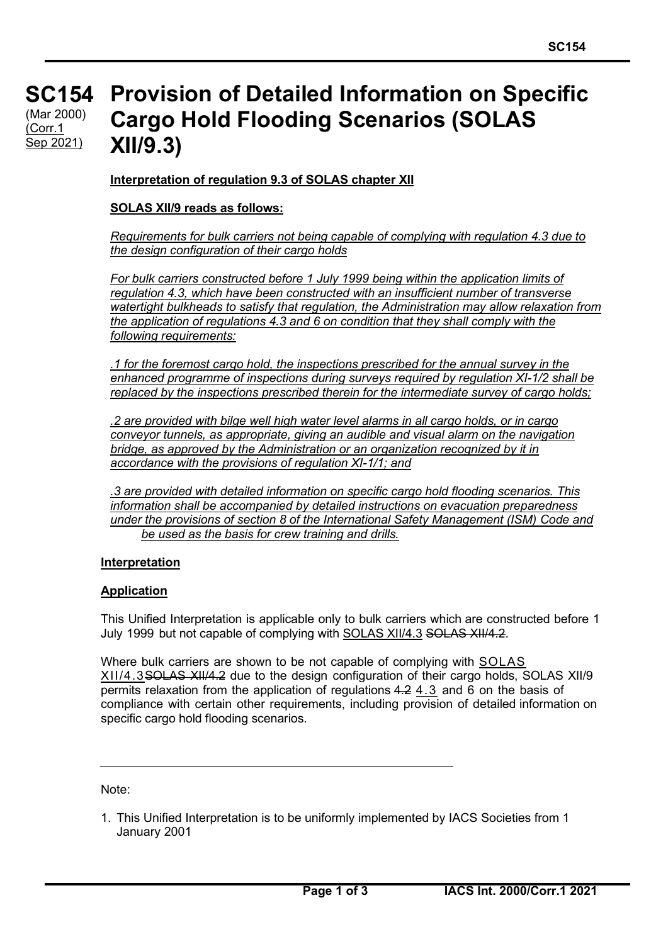#### **SC154 SC154** (Mar 2000) **Provision of Detailed Information on Specific Cargo Hold Flooding Scenarios (SOLAS XII/9.3)** (Corr.1 Sep 2021)

**Interpretation of regulation 9.3 of SOLAS chapter XII**

### **SOLAS XII/9 reads as follows:**

*Requirements for bulk carriers not being capable of complying with regulation 4.3 due to the design configuration of their cargo holds* 

*For bulk carriers constructed before 1 July 1999 being within the application limits of regulation 4.3, which have been constructed with an insufficient number of transverse watertight bulkheads to satisfy that regulation, the Administration may allow relaxation from the application of regulations 4.3 and 6 on condition that they shall comply with the following requirements:* 

*.1 for the foremost cargo hold, the inspections prescribed for the annual survey in the enhanced programme of inspections during surveys required by regulation XI-1/2 shall be replaced by the inspections prescribed therein for the intermediate survey of cargo holds;* 

*.2 are provided with bilge well high water level alarms in all cargo holds, or in cargo conveyor tunnels, as appropriate, giving an audible and visual alarm on the navigation bridge, as approved by the Administration or an organization recognized by it in accordance with the provisions of regulation XI-1/1; and* 

*.3 are provided with detailed information on specific cargo hold flooding scenarios. This information shall be accompanied by detailed instructions on evacuation preparedness under the provisions of section 8 of the International Safety Management (ISM) Code and be used as the basis for crew training and drills.* 

#### **Interpretation**

## **Application**

This Unified Interpretation is applicable only to bulk carriers which are constructed before 1 July 1999 but not capable of complying with SOLAS XII/4.3 SOLAS XII/4.2.

Where bulk carriers are shown to be not capable of complying with SOLAS XII/4.3SOLAS XII/4.2 due to the design configuration of their cargo holds, SOLAS XII/9 permits relaxation from the application of regulations 4.2 4.3 and 6 on the basis of compliance with certain other requirements, including provision of detailed information on specific cargo hold flooding scenarios.

Note:

1. This Unified Interpretation is to be uniformly implemented by IACS Societies from 1 January 2001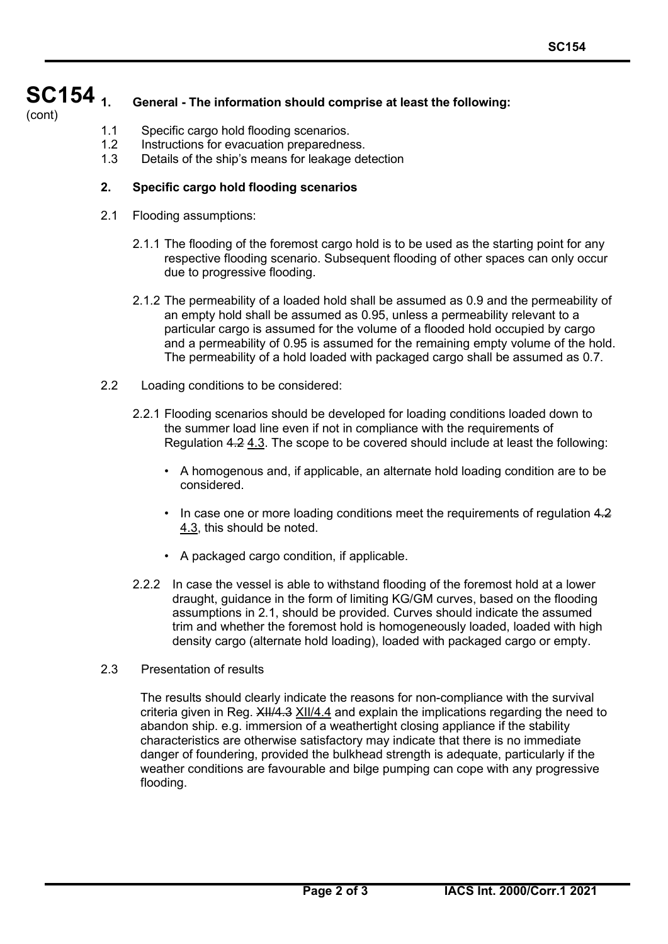#### **SC154** (cont) **1. General - The information should comprise at least the following:**

- 1.1 Specific cargo hold flooding scenarios.
- 1.2 Instructions for evacuation preparedness.
- 1.3 Details of the ship's means for leakage detection

# **2. Specific cargo hold flooding scenarios**

- 2.1 Flooding assumptions:
	- 2.1.1 The flooding of the foremost cargo hold is to be used as the starting point for any respective flooding scenario. Subsequent flooding of other spaces can only occur due to progressive flooding.
	- 2.1.2 The permeability of a loaded hold shall be assumed as 0.9 and the permeability of an empty hold shall be assumed as 0.95, unless a permeability relevant to a particular cargo is assumed for the volume of a flooded hold occupied by cargo and a permeability of 0.95 is assumed for the remaining empty volume of the hold. The permeability of a hold loaded with packaged cargo shall be assumed as 0.7.
- 2.2 Loading conditions to be considered:
	- 2.2.1 Flooding scenarios should be developed for loading conditions loaded down to the summer load line even if not in compliance with the requirements of Regulation 4.2 4.3. The scope to be covered should include at least the following:
		- A homogenous and, if applicable, an alternate hold loading condition are to be considered.
		- In case one or more loading conditions meet the requirements of regulation 4.2 4.3, this should be noted.
		- A packaged cargo condition, if applicable.
	- 2.2.2 In case the vessel is able to withstand flooding of the foremost hold at a lower draught, guidance in the form of limiting KG/GM curves, based on the flooding assumptions in 2.1, should be provided. Curves should indicate the assumed trim and whether the foremost hold is homogeneously loaded, loaded with high density cargo (alternate hold loading), loaded with packaged cargo or empty.
- 2.3 Presentation of results

The results should clearly indicate the reasons for non-compliance with the survival criteria given in Reg. XII/4.3 XII/4.4 and explain the implications regarding the need to abandon ship. e.g. immersion of a weathertight closing appliance if the stability characteristics are otherwise satisfactory may indicate that there is no immediate danger of foundering, provided the bulkhead strength is adequate, particularly if the weather conditions are favourable and bilge pumping can cope with any progressive flooding.